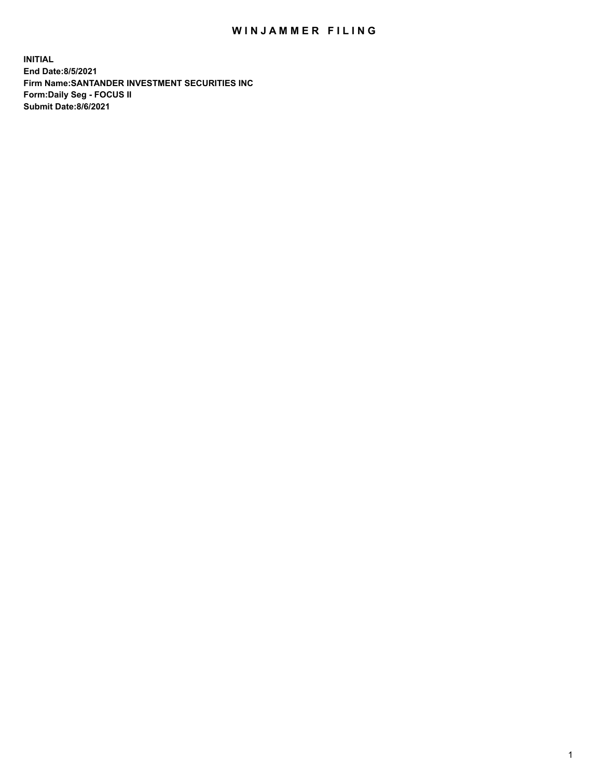## WIN JAMMER FILING

**INITIAL End Date:8/5/2021 Firm Name:SANTANDER INVESTMENT SECURITIES INC Form:Daily Seg - FOCUS II Submit Date:8/6/2021**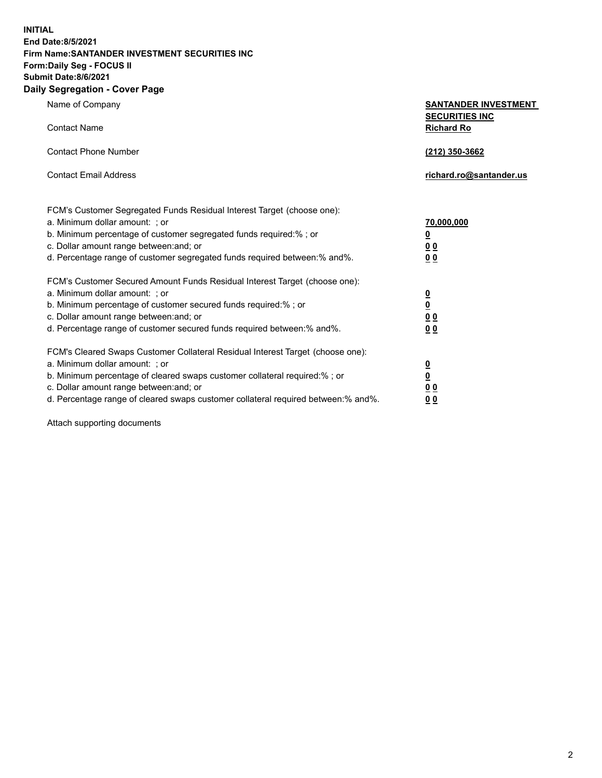**INITIAL End Date:8/5/2021 Firm Name:SANTANDER INVESTMENT SECURITIES INC Form:Daily Seg - FOCUS II Submit Date:8/6/2021 Daily Segregation - Cover Page**

| Name of Company                                                                   | <b>SANTANDER INVESTMENT</b>     |
|-----------------------------------------------------------------------------------|---------------------------------|
|                                                                                   | <b>SECURITIES INC</b>           |
| <b>Contact Name</b>                                                               | <b>Richard Ro</b>               |
| <b>Contact Phone Number</b>                                                       |                                 |
|                                                                                   | (212) 350-3662                  |
| <b>Contact Email Address</b>                                                      | richard.ro@santander.us         |
|                                                                                   |                                 |
| FCM's Customer Segregated Funds Residual Interest Target (choose one):            |                                 |
| a. Minimum dollar amount: ; or                                                    | 70,000,000                      |
| b. Minimum percentage of customer segregated funds required:% ; or                | $\underline{\mathbf{0}}$        |
| c. Dollar amount range between: and; or                                           | 0 <sub>0</sub>                  |
| d. Percentage range of customer segregated funds required between:% and%.         | 0 <sub>0</sub>                  |
|                                                                                   |                                 |
| FCM's Customer Secured Amount Funds Residual Interest Target (choose one):        |                                 |
| a. Minimum dollar amount: ; or                                                    |                                 |
| b. Minimum percentage of customer secured funds required:%; or                    | $\frac{0}{0}$                   |
| c. Dollar amount range between: and; or                                           | $\underline{0}$ $\underline{0}$ |
| d. Percentage range of customer secured funds required between: % and %.          | 0 <sub>0</sub>                  |
| FCM's Cleared Swaps Customer Collateral Residual Interest Target (choose one):    |                                 |
| a. Minimum dollar amount: ; or                                                    |                                 |
| b. Minimum percentage of cleared swaps customer collateral required:% ; or        | $\frac{0}{0}$                   |
| c. Dollar amount range between: and; or                                           | 0 <sub>0</sub>                  |
| d. Percentage range of cleared swaps customer collateral required between:% and%. | <u>00</u>                       |
|                                                                                   |                                 |

Attach supporting documents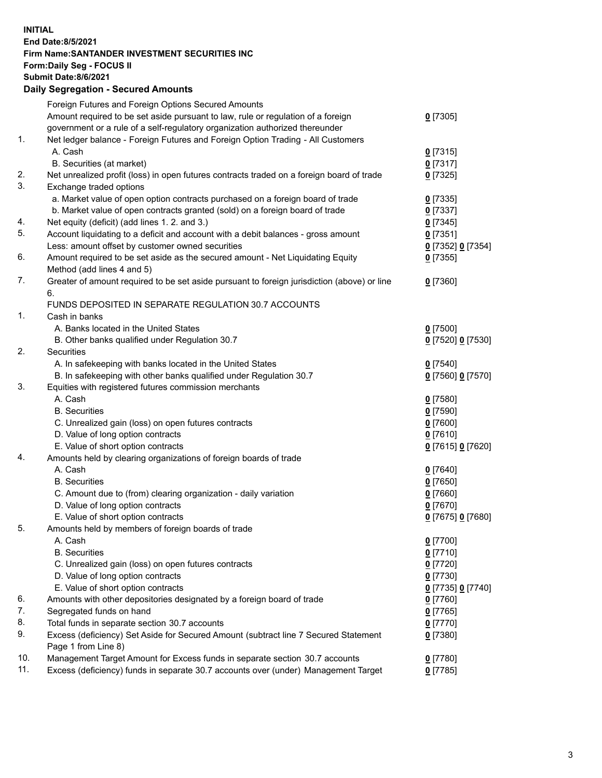## **INITIAL End Date:8/5/2021 Firm Name:SANTANDER INVESTMENT SECURITIES INC Form:Daily Seg - FOCUS II Submit Date:8/6/2021 Daily Segregation - Secured Amounts** Foreign Futures and Foreign Options Secured Amounts

|     | Foreign Futures and Foreign Options Secured Amounts                                         |                   |
|-----|---------------------------------------------------------------------------------------------|-------------------|
|     | Amount required to be set aside pursuant to law, rule or regulation of a foreign            | $0$ [7305]        |
|     | government or a rule of a self-regulatory organization authorized thereunder                |                   |
| 1.  | Net ledger balance - Foreign Futures and Foreign Option Trading - All Customers             |                   |
|     | A. Cash                                                                                     | $0$ [7315]        |
|     | B. Securities (at market)                                                                   | $0$ [7317]        |
| 2.  | Net unrealized profit (loss) in open futures contracts traded on a foreign board of trade   | $0$ [7325]        |
| 3.  | Exchange traded options                                                                     |                   |
|     | a. Market value of open option contracts purchased on a foreign board of trade              | $0$ [7335]        |
|     | b. Market value of open contracts granted (sold) on a foreign board of trade                | $0$ [7337]        |
| 4.  | Net equity (deficit) (add lines 1. 2. and 3.)                                               |                   |
| 5.  |                                                                                             | $0$ [7345]        |
|     | Account liquidating to a deficit and account with a debit balances - gross amount           | $0$ [7351]        |
|     | Less: amount offset by customer owned securities                                            | 0 [7352] 0 [7354] |
| 6.  | Amount required to be set aside as the secured amount - Net Liquidating Equity              | $0$ [7355]        |
|     | Method (add lines 4 and 5)                                                                  |                   |
| 7.  | Greater of amount required to be set aside pursuant to foreign jurisdiction (above) or line | $0$ [7360]        |
|     | 6.                                                                                          |                   |
|     | FUNDS DEPOSITED IN SEPARATE REGULATION 30.7 ACCOUNTS                                        |                   |
| 1.  | Cash in banks                                                                               |                   |
|     | A. Banks located in the United States                                                       | $0$ [7500]        |
|     | B. Other banks qualified under Regulation 30.7                                              | 0 [7520] 0 [7530] |
| 2.  | Securities                                                                                  |                   |
|     | A. In safekeeping with banks located in the United States                                   | $0$ [7540]        |
|     | B. In safekeeping with other banks qualified under Regulation 30.7                          | 0 [7560] 0 [7570] |
| 3.  | Equities with registered futures commission merchants                                       |                   |
|     | A. Cash                                                                                     | $0$ [7580]        |
|     | <b>B.</b> Securities                                                                        | $0$ [7590]        |
|     | C. Unrealized gain (loss) on open futures contracts                                         | $0$ [7600]        |
|     | D. Value of long option contracts                                                           | $0$ [7610]        |
|     | E. Value of short option contracts                                                          | 0 [7615] 0 [7620] |
| 4.  | Amounts held by clearing organizations of foreign boards of trade                           |                   |
|     | A. Cash                                                                                     | $0$ [7640]        |
|     | <b>B.</b> Securities                                                                        | <u>0</u> [7650]   |
|     | C. Amount due to (from) clearing organization - daily variation                             | $0$ [7660]        |
|     | D. Value of long option contracts                                                           | $0$ [7670]        |
|     | E. Value of short option contracts                                                          | 0 [7675] 0 [7680] |
| 5.  | Amounts held by members of foreign boards of trade                                          |                   |
|     | A. Cash                                                                                     | $0$ [7700]        |
|     | <b>B.</b> Securities                                                                        | $0$ [7710]        |
|     | C. Unrealized gain (loss) on open futures contracts                                         | $0$ [7720]        |
|     | D. Value of long option contracts                                                           | $0$ [7730]        |
|     | E. Value of short option contracts                                                          | 0 [7735] 0 [7740] |
| 6.  | Amounts with other depositories designated by a foreign board of trade                      | 0 [7760]          |
| 7.  | Segregated funds on hand                                                                    | $0$ [7765]        |
| 8.  | Total funds in separate section 30.7 accounts                                               | $0$ [7770]        |
| 9.  | Excess (deficiency) Set Aside for Secured Amount (subtract line 7 Secured Statement         | $0$ [7380]        |
|     | Page 1 from Line 8)                                                                         |                   |
| 10. | Management Target Amount for Excess funds in separate section 30.7 accounts                 |                   |
| 11. | Excess (deficiency) funds in separate 30.7 accounts over (under) Management Target          | $0$ [7780]        |
|     |                                                                                             | $0$ [7785]        |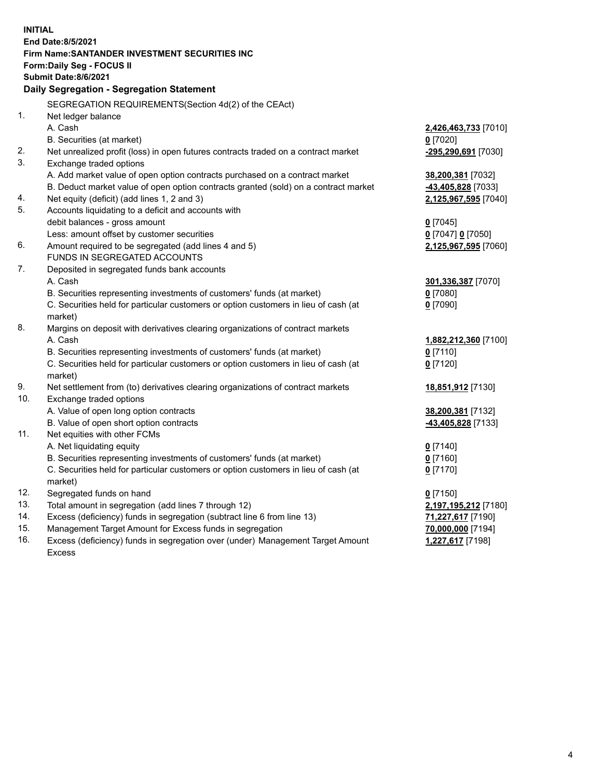| <b>INITIAL</b> | <b>End Date:8/5/2021</b><br>Firm Name: SANTANDER INVESTMENT SECURITIES INC<br>Form: Daily Seg - FOCUS II<br>Submit Date:8/6/2021 |                      |
|----------------|----------------------------------------------------------------------------------------------------------------------------------|----------------------|
|                | Daily Segregation - Segregation Statement                                                                                        |                      |
|                | SEGREGATION REQUIREMENTS(Section 4d(2) of the CEAct)                                                                             |                      |
| 1.             | Net ledger balance                                                                                                               |                      |
|                | A. Cash                                                                                                                          | 2,426,463,733 [7010] |
|                | B. Securities (at market)                                                                                                        | $0$ [7020]           |
| 2.             | Net unrealized profit (loss) in open futures contracts traded on a contract market                                               | -295,290,691 [7030]  |
| 3.             | Exchange traded options                                                                                                          |                      |
|                | A. Add market value of open option contracts purchased on a contract market                                                      | 38,200,381 [7032]    |
|                | B. Deduct market value of open option contracts granted (sold) on a contract market                                              | 43,405,828 [7033]    |
| 4.<br>5.       | Net equity (deficit) (add lines 1, 2 and 3)                                                                                      | 2,125,967,595 [7040] |
|                | Accounts liquidating to a deficit and accounts with                                                                              |                      |
|                | debit balances - gross amount<br>Less: amount offset by customer securities                                                      | $0$ [7045]           |
| 6.             | Amount required to be segregated (add lines 4 and 5)                                                                             | 0 [7047] 0 [7050]    |
|                | FUNDS IN SEGREGATED ACCOUNTS                                                                                                     | 2,125,967,595 [7060] |
| 7.             | Deposited in segregated funds bank accounts                                                                                      |                      |
|                | A. Cash                                                                                                                          | 301,336,387 [7070]   |
|                | B. Securities representing investments of customers' funds (at market)                                                           | $0$ [7080]           |
|                | C. Securities held for particular customers or option customers in lieu of cash (at                                              | $0$ [7090]           |
|                | market)                                                                                                                          |                      |
| 8.             | Margins on deposit with derivatives clearing organizations of contract markets                                                   |                      |
|                | A. Cash                                                                                                                          | 1,882,212,360 [7100] |
|                | B. Securities representing investments of customers' funds (at market)                                                           | $0$ [7110]           |
|                | C. Securities held for particular customers or option customers in lieu of cash (at                                              | $0$ [7120]           |
|                | market)                                                                                                                          |                      |
| 9.             | Net settlement from (to) derivatives clearing organizations of contract markets                                                  | 18,851,912 [7130]    |
| 10.            | Exchange traded options                                                                                                          |                      |
|                | A. Value of open long option contracts                                                                                           | 38,200,381 [7132]    |
|                | B. Value of open short option contracts                                                                                          | 43,405,828 [7133]    |
| 11.            | Net equities with other FCMs                                                                                                     |                      |
|                | A. Net liquidating equity                                                                                                        | $0$ [7140]           |
|                | B. Securities representing investments of customers' funds (at market)                                                           | $0$ [7160]           |
|                | C. Securities held for particular customers or option customers in lieu of cash (at                                              | $0$ [7170]           |
|                | market)                                                                                                                          |                      |
| 12.            | Segregated funds on hand                                                                                                         | $0$ [7150]           |
| 13.            | Total amount in segregation (add lines 7 through 12)                                                                             | 2,197,195,212 [7180] |
| 14.            | Excess (deficiency) funds in segregation (subtract line 6 from line 13)                                                          | 71,227,617 [7190]    |
| 15.            | Management Target Amount for Excess funds in segregation                                                                         | 70,000,000 [7194]    |
| 16.            | Excess (deficiency) funds in segregation over (under) Management Target Amount                                                   | 1,227,617 [7198]     |
|                | Excess                                                                                                                           |                      |